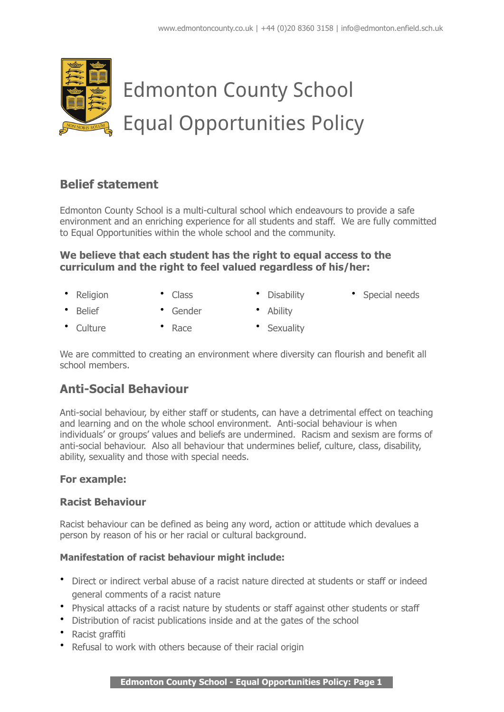

# **Belief statement**

Edmonton County School is a multi-cultural school which endeavours to provide a safe environment and an enriching experience for all students and staff. We are fully committed to Equal Opportunities within the whole school and the community.

#### **We believe that each student has the right to equal access to the curriculum and the right to feel valued regardless of his/her:**

- Religion • Class • Disability • Special needs
- Belief • Gender • Ability
- Culture • Race • Sexuality

We are committed to creating an environment where diversity can flourish and benefit all school members.

# **Anti-Social Behaviour**

Anti-social behaviour, by either staff or students, can have a detrimental effect on teaching and learning and on the whole school environment. Anti-social behaviour is when individuals' or groups' values and beliefs are undermined. Racism and sexism are forms of anti-social behaviour. Also all behaviour that undermines belief, culture, class, disability, ability, sexuality and those with special needs.

#### **For example:**

### **Racist Behaviour**

Racist behaviour can be defined as being any word, action or attitude which devalues a person by reason of his or her racial or cultural background.

#### **Manifestation of racist behaviour might include:**

- Direct or indirect verbal abuse of a racist nature directed at students or staff or indeed general comments of a racist nature
- Physical attacks of a racist nature by students or staff against other students or staff
- Distribution of racist publications inside and at the gates of the school
- Racist graffiti
- Refusal to work with others because of their racial origin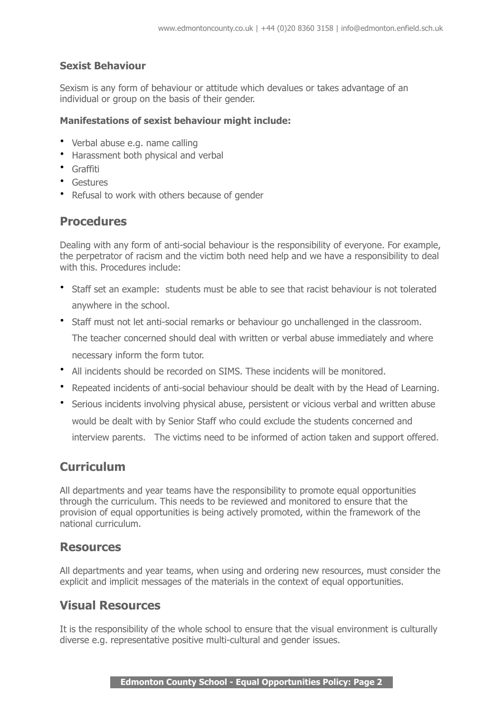### **Sexist Behaviour**

Sexism is any form of behaviour or attitude which devalues or takes advantage of an individual or group on the basis of their gender.

#### **Manifestations of sexist behaviour might include:**

- Verbal abuse e.g. name calling
- Harassment both physical and verbal
- Graffiti
- Gestures
- Refusal to work with others because of gender

### **Procedures**

Dealing with any form of anti-social behaviour is the responsibility of everyone. For example, the perpetrator of racism and the victim both need help and we have a responsibility to deal with this. Procedures include:

- Staff set an example: students must be able to see that racist behaviour is not tolerated anywhere in the school.
- Staff must not let anti-social remarks or behaviour go unchallenged in the classroom. The teacher concerned should deal with written or verbal abuse immediately and where necessary inform the form tutor.
- All incidents should be recorded on SIMS. These incidents will be monitored.
- Repeated incidents of anti-social behaviour should be dealt with by the Head of Learning.
- Serious incidents involving physical abuse, persistent or vicious verbal and written abuse would be dealt with by Senior Staff who could exclude the students concerned and interview parents. The victims need to be informed of action taken and support offered.

## **Curriculum**

All departments and year teams have the responsibility to promote equal opportunities through the curriculum. This needs to be reviewed and monitored to ensure that the provision of equal opportunities is being actively promoted, within the framework of the national curriculum.

### **Resources**

All departments and year teams, when using and ordering new resources, must consider the explicit and implicit messages of the materials in the context of equal opportunities.

## **Visual Resources**

It is the responsibility of the whole school to ensure that the visual environment is culturally diverse e.g. representative positive multi-cultural and gender issues.